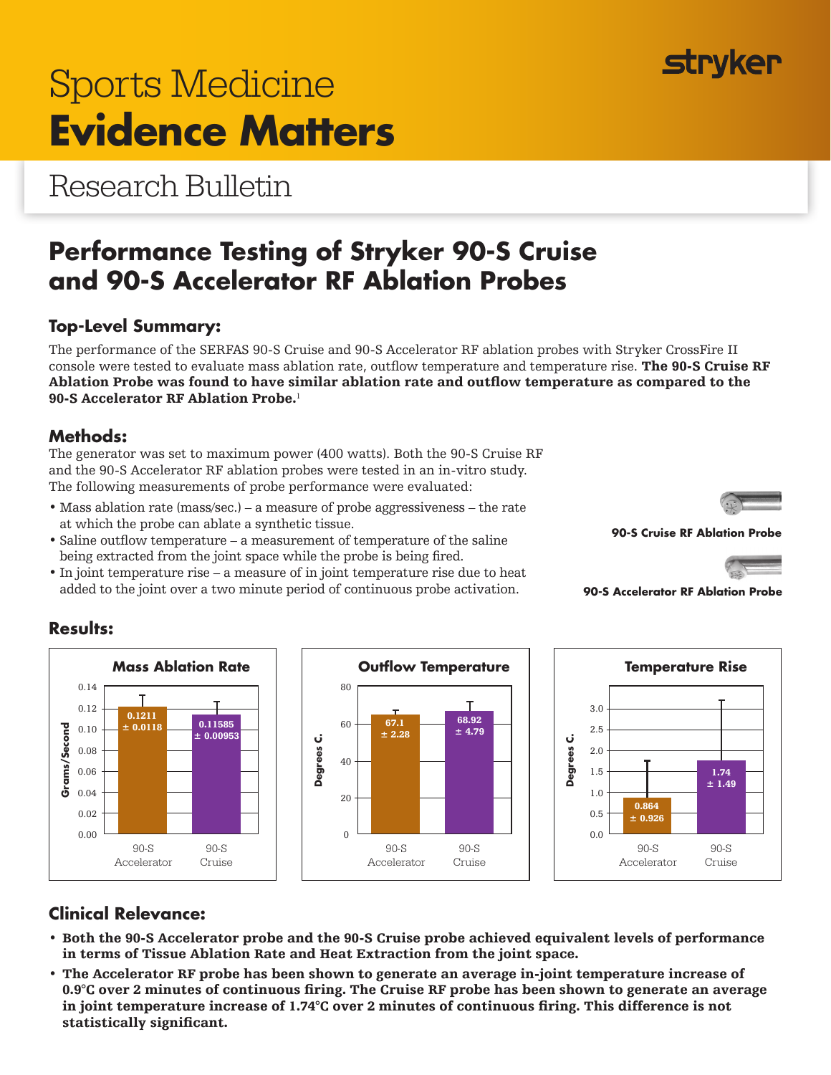# **Top-Level Summary:**

The performance of the SERFAS 90-S Cruise and 90-S Accelerator RF ablation probes with Stryker CrossFire II console were tested to evaluate mass ablation rate, outflow temperature and temperature rise. The 90-S Cruise RF Ablation Probe was found to have similar ablation rate and outflow temperature as compared to the 90-S Accelerator RF Ablation Probe.<sup>1</sup>

## **Methods:**

The generator was set to maximum power (400 watts). Both the 90-S Cruise RF and the 90-S Accelerator RF ablation probes were tested in an in-vitro study. The following measurements of probe performance were evaluated:

- Mass ablation rate (mass/sec.) a measure of probe aggressiveness the rate at which the probe can ablate a synthetic tissue.
- Saline outflow temperature a measurement of temperature of the saline being extracted from the joint space while the probe is being fired.
- In joint temperature rise a measure of in joint temperature rise due to heat added to the joint over a two minute period of continuous probe activation.

# **Clinical Relevance:**

90-S Accelerator

0.1211

T

90-S Cruise

0.11585  $± 0.00953$ 

- Both the 90-S Accelerator probe and the 90-S Cruise probe achieved equivalent levels of performance in terms of Tissue Ablation Rate and Heat Extraction from the joint space.
- The Accelerator RF probe has been shown to generate an average in-joint temperature increase of 0.9°C over 2 minutes of continuous firing. The Cruise RF probe has been shown to generate an average in joint temperature increase of 1.74°C over 2 minutes of continuous firing. This difference is not statistically significant.

Research Bulletin

# **Performance Testing of Stryker 90-S Cruise and 90-S Accelerator RF Ablation Probes**

## $80$ т 68.92  $\pm$  0.0118 0.11585  $\Box$  60  $\leftarrow$  67.1 60  $± 4.79$ ± 2.28 **Degrees C.** 40 90-S 90-S Accelerator Cruise

90-S Cruise

1.74  $± 1.49$ 

**90-S Cruise RF Ablation Probe**

**90-S Accelerator RF Ablation Probe**



0.12

0.08

**Grams/Second**

Grams/Second

0.14